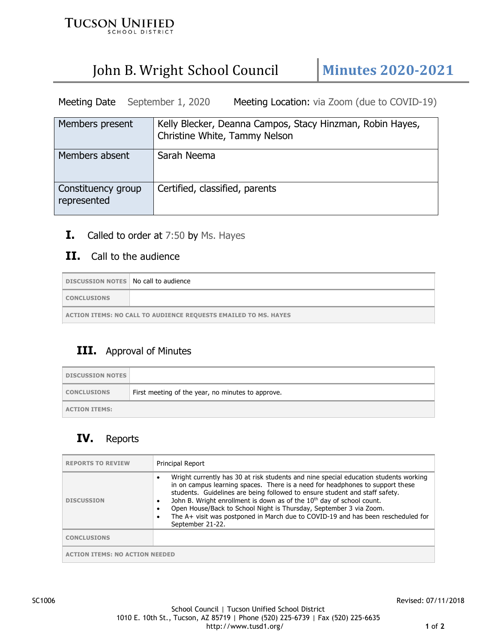

# John B. Wright School Council **Minutes 2020-2021**

Meeting Date September 1, 2020 Meeting Location: via Zoom (due to COVID-19)

| Members present                   | Kelly Blecker, Deanna Campos, Stacy Hinzman, Robin Hayes,<br>Christine White, Tammy Nelson |
|-----------------------------------|--------------------------------------------------------------------------------------------|
| Members absent                    | Sarah Neema                                                                                |
| Constituency group<br>represented | Certified, classified, parents                                                             |

**I.** Called to order at 7:50 by Ms. Hayes

### **II.** Call to the audience

| DISCUSSION NOTES   No call to audience                                 |  |
|------------------------------------------------------------------------|--|
| <b>CONCLUSIONS</b>                                                     |  |
| <b>ACTION ITEMS: NO CALL TO AUDIENCE REQUESTS EMAILED TO MS. HAYES</b> |  |

#### **III.** Approval of Minutes

| <b>DISCUSSION NOTES</b> |                                                   |
|-------------------------|---------------------------------------------------|
| <b>CONCLUSIONS</b>      | First meeting of the year, no minutes to approve. |
| <b>ACTION ITEMS:</b>    |                                                   |

# **IV.** Reports

| <b>REPORTS TO REVIEW</b>    | <b>Principal Report</b>                                                                                                                                                                                                                                                                                                                                                                                                                                                                                                 |
|-----------------------------|-------------------------------------------------------------------------------------------------------------------------------------------------------------------------------------------------------------------------------------------------------------------------------------------------------------------------------------------------------------------------------------------------------------------------------------------------------------------------------------------------------------------------|
| <b>DISCUSSION</b>           | Wright currently has 30 at risk students and nine special education students working<br>in on campus learning spaces. There is a need for headphones to support these<br>students. Guidelines are being followed to ensure student and staff safety.<br>John B. Wright enrollment is down as of the 10 <sup>th</sup> day of school count.<br>Open House/Back to School Night is Thursday, September 3 via Zoom.<br>The A+ visit was postponed in March due to COVID-19 and has been rescheduled for<br>September 21-22. |
| <b>CONCLUSIONS</b>          |                                                                                                                                                                                                                                                                                                                                                                                                                                                                                                                         |
| ION ITEMS: NO ACTION NEEDED |                                                                                                                                                                                                                                                                                                                                                                                                                                                                                                                         |